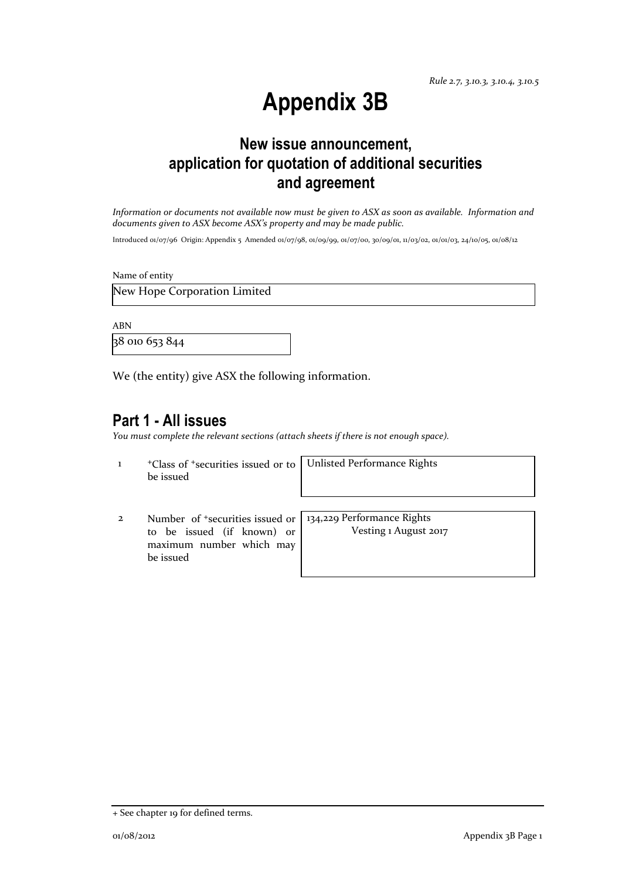# **Appendix 3B**

## **New issue announcement, application for quotation of additional securities and agreement**

*Information or documents not available now must be given to ASX as soon as available. Information and documents given to ASX become ASX's property and may be made public.*

Introduced 01/07/96 Origin: Appendix 5 Amended 01/07/98, 01/09/99, 01/07/00, 30/09/01, 11/03/02, 01/01/03, 24/10/05, 01/08/12

Name of entity

New Hope Corporation Limited

ABN

38 010 653 844

We (the entity) give ASX the following information.

#### **Part 1 - All issues**

*You must complete the relevant sections (attach sheets if there is not enough space).*

1 <sup>+</sup>Class of +securities issued or to be issued

Unlisted Performance Rights

2 Number of +securities issued or to be issued (if known) or maximum number which may be issued

134,229 Performance Rights Vesting 1 August 2017

<sup>+</sup> See chapter 19 for defined terms.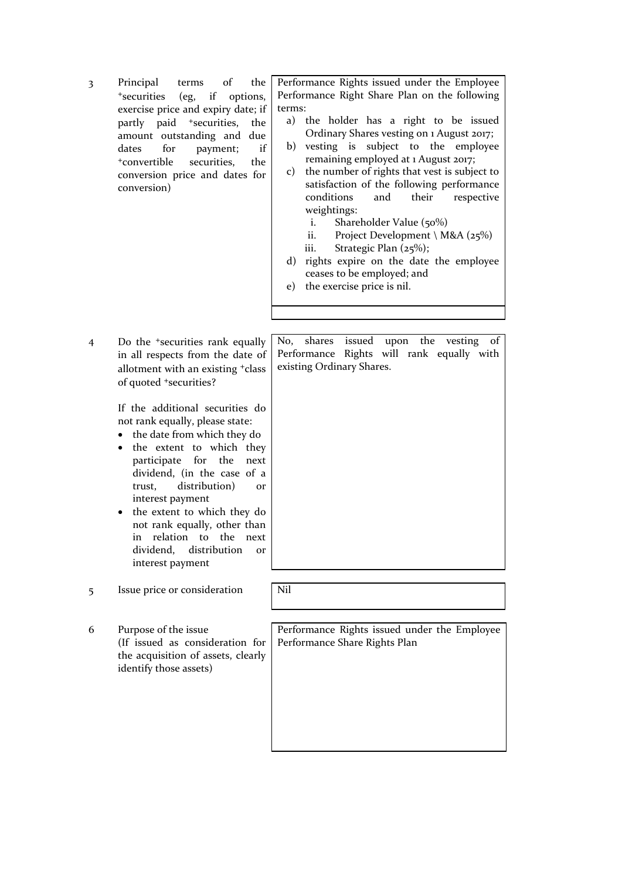3 Principal terms of the <sup>+</sup>securities (eg, if options, exercise price and expiry date; if partly paid <sup>+</sup>securities, the amount outstanding and due dates for payment; if <sup>+</sup>convertible securities, the conversion price and dates for conversion)

Performance Rights issued under the Employee Performance Right Share Plan on the following terms:

- a) the holder has a right to be issued Ordinary Shares vesting on 1 August 2017;
- b) vesting is subject to the employee remaining employed at 1 August 2017;
- c) the number of rights that vest is subject to satisfaction of the following performance conditions and their respective weightings:
	- i. Shareholder Value (50%)
	- ii. Project Development \ M&A ( $25\%$ )
	- iii. Strategic Plan (25%);
- d) rights expire on the date the employee ceases to be employed; and
- e) the exercise price is nil.
- 4 Do the +securities rank equally in all respects from the date of allotment with an existing +class of quoted +securities?

If the additional securities do not rank equally, please state:

- the date from which they do
- the extent to which they participate for the next dividend, (in the case of a trust, distribution) or interest payment
- the extent to which they do not rank equally, other than in relation to the next dividend, distribution or interest payment

5 Issue price or consideration Nil

6 Purpose of the issue (If issued as consideration for the acquisition of assets, clearly identify those assets)

No, shares issued upon the vesting of Performance Rights will rank equally with existing Ordinary Shares.

Performance Rights issued under the Employee Performance Share Rights Plan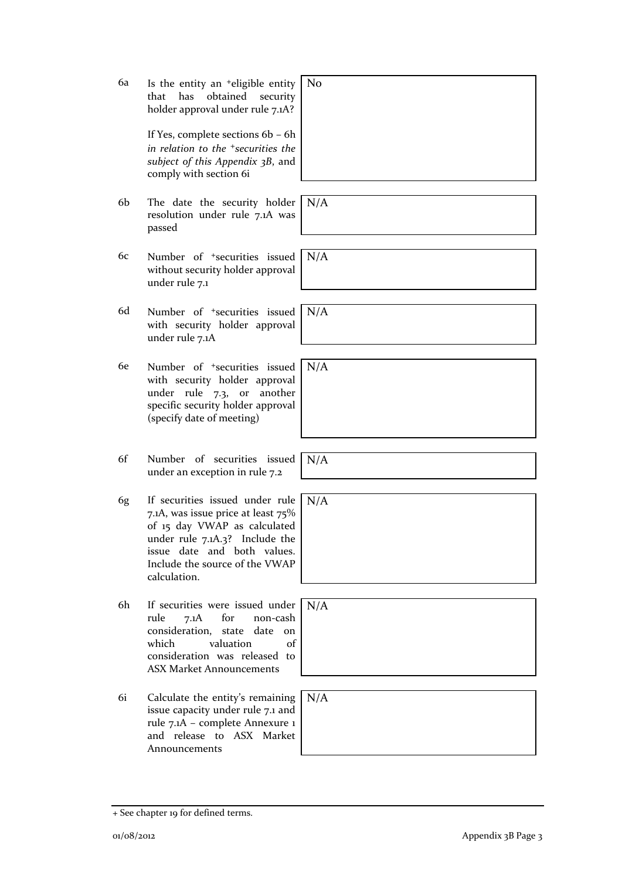+ See chapter 19 for defined terms.

6a Is the entity an +eligible entity No that has obtained security holder approval under rule 7.1A?

> If Yes, complete sections 6b – 6h *in relation to the +securities the subject of this Appendix 3B*, and comply with section 6i

- 6b The date the security holder resolution under rule 7.1A was passed
- 6c Number of +securities issued without security holder approval under rule 7.1
- 6d Number of +securities issued with security holder approval under rule 7.1A
- 6e Number of +securities issued with security holder approval under rule 7.3, or another specific security holder approval (specify date of meeting)
- 6f Number of securities issued under an exception in rule 7.2
- 6g If securities issued under rule 7.1A, was issue price at least 75% of 15 day VWAP as calculated under rule 7.1A.3? Include the issue date and both values. Include the source of the VWAP calculation.
- 6h If securities were issued under rule 7.1A for non-cash consideration, state date on which valuation of consideration was released to ASX Market Announcements
- 6i Calculate the entity's remaining issue capacity under rule 7.1 and rule 7.1A – complete Annexure 1 and release to ASX Market Announcements

| Ńо |  |  |  |
|----|--|--|--|
|    |  |  |  |
|    |  |  |  |
|    |  |  |  |
|    |  |  |  |
|    |  |  |  |
|    |  |  |  |

N/A

N/A

N/A

N/A

N/A

N/A

N/A

N/A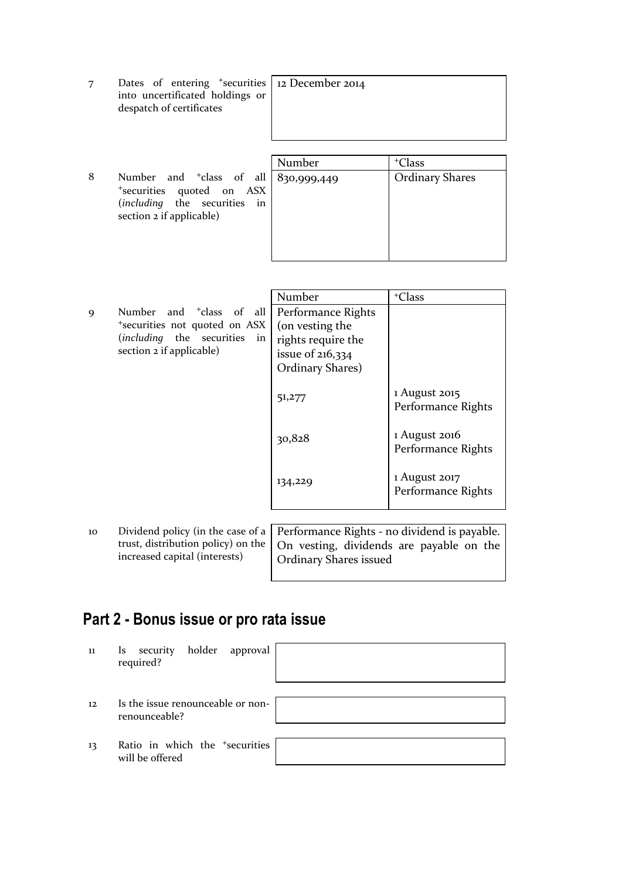| Dates of entering <sup>+</sup> securities 12 December 2014<br>into uncertificated holdings or<br>despatch of certificates |  |
|---------------------------------------------------------------------------------------------------------------------------|--|
|                                                                                                                           |  |

8 Number and <sup>+</sup>class of all <sup>+</sup>securities quoted on ASX (*including* the securities in section 2 if applicable)

|   | Number      | <sup>+</sup> Class     |
|---|-------------|------------------------|
| 1 | 830,999,449 | <b>Ordinary Shares</b> |
| K |             |                        |
| n |             |                        |
|   |             |                        |
|   |             |                        |
|   |             |                        |
|   |             |                        |

|                                                                                                                                                             | Number                                                                                                | <sup>+</sup> Class                    |
|-------------------------------------------------------------------------------------------------------------------------------------------------------------|-------------------------------------------------------------------------------------------------------|---------------------------------------|
| Number and <sup>+</sup> class of all<br>$\mathbf Q$<br>*securities not quoted on ASX<br>( <i>including</i> the securities<br>in<br>section 2 if applicable) | Performance Rights<br>(on vesting the<br>rights require the<br>issue of $216,334$<br>Ordinary Shares) |                                       |
|                                                                                                                                                             | 51,277                                                                                                | 1 August 2015<br>Performance Rights   |
|                                                                                                                                                             | 30,828                                                                                                | $1$ August 2016<br>Performance Rights |
|                                                                                                                                                             | 134,229                                                                                               | 1 August 2017<br>Performance Rights   |
|                                                                                                                                                             |                                                                                                       |                                       |

10 Dividend policy (in the case of a trust, distribution policy) on the increased capital (interests)

Performance Rights - no dividend is payable. On vesting, dividends are payable on the Ordinary Shares issued

# **Part 2 - Bonus issue or pro rata issue**

| 11 | holder approval<br>Is security                                |  |
|----|---------------------------------------------------------------|--|
|    | required?                                                     |  |
|    |                                                               |  |
| 12 | Is the issue renounceable or non-<br>renounceable?            |  |
|    |                                                               |  |
| 13 | Ratio in which the <sup>+</sup> securities<br>will be offered |  |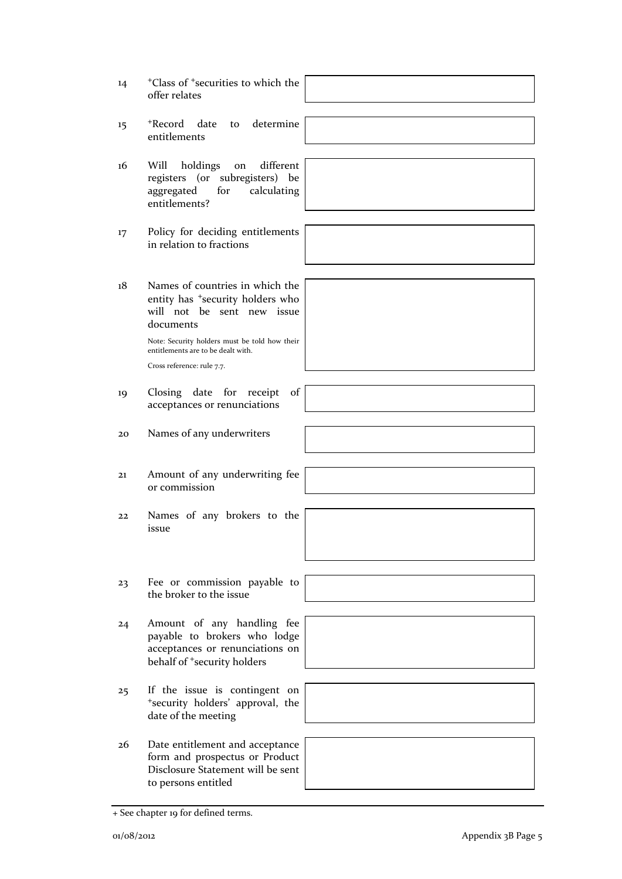| 14      | <sup>+</sup> Class of <sup>+</sup> securities to which the<br>offer relates                                                                                                                                                                     |
|---------|-------------------------------------------------------------------------------------------------------------------------------------------------------------------------------------------------------------------------------------------------|
| $15 \,$ | determine<br>+Record date<br>to<br>entitlements                                                                                                                                                                                                 |
| 16      | different<br>Will<br>holdings<br>on<br>registers (or subregisters) be<br>for<br>aggregated<br>calculating<br>entitlements?                                                                                                                      |
| 17      | Policy for deciding entitlements<br>in relation to fractions                                                                                                                                                                                    |
| 18      | Names of countries in which the<br>entity has <sup>+</sup> security holders who<br>will not be sent new issue<br>documents<br>Note: Security holders must be told how their<br>entitlements are to be dealt with.<br>Cross reference: rule 7.7. |
| 19      | of<br>Closing date for receipt<br>acceptances or renunciations                                                                                                                                                                                  |
| 20      | Names of any underwriters                                                                                                                                                                                                                       |
| 21      | Amount of any underwriting fee<br>or commission                                                                                                                                                                                                 |
| 22      | Names of any brokers to the<br>issue                                                                                                                                                                                                            |
| 23      | Fee or commission payable to<br>the broker to the issue                                                                                                                                                                                         |
| 24      | Amount of any handling fee<br>payable to brokers who lodge<br>acceptances or renunciations on<br>behalf of <sup>+</sup> security holders                                                                                                        |
| 25      | If the issue is contingent on<br>"security holders' approval, the<br>date of the meeting                                                                                                                                                        |
| 26      | Date entitlement and acceptance<br>form and prospectus or Product<br>Disclosure Statement will be sent<br>to persons entitled                                                                                                                   |

<sup>+</sup> See chapter 19 for defined terms.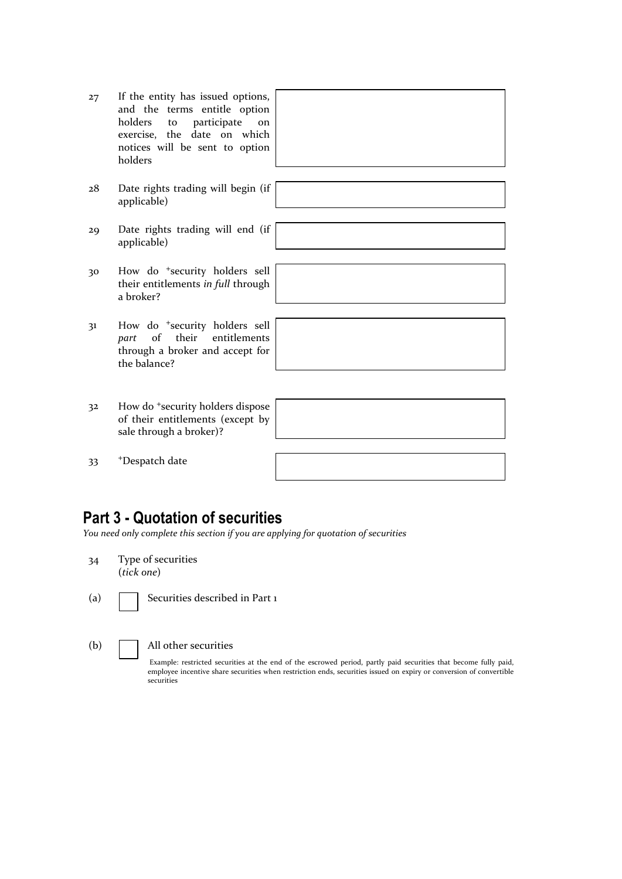- 27 If the entity has issued options, and the terms entitle option<br>holders to participate on to participate on exercise, the date on which notices will be sent to option holders
- 28 Date rights trading will begin (if applicable)
- 29 Date rights trading will end (if applicable)
- 30 How do <sup>+</sup>security holders sell their entitlements *in full* through a broker?
- 31 How do <sup>+</sup>security holders sell *part* of their entitlements through a broker and accept for the balance?
- 32 How do <sup>+</sup>security holders dispose of their entitlements (except by sale through a broker)?

| 33 | <sup>+</sup> Despatch date |
|----|----------------------------|
|----|----------------------------|

## **Part 3 - Quotation of securities**

*You need only complete this section if you are applying for quotation of securities*

- 34 Type of securities (*tick one*)
- (a) Securities described in Part 1

(b) All other securities

Example: restricted securities at the end of the escrowed period, partly paid securities that become fully paid, employee incentive share securities when restriction ends, securities issued on expiry or conversion of convertible securities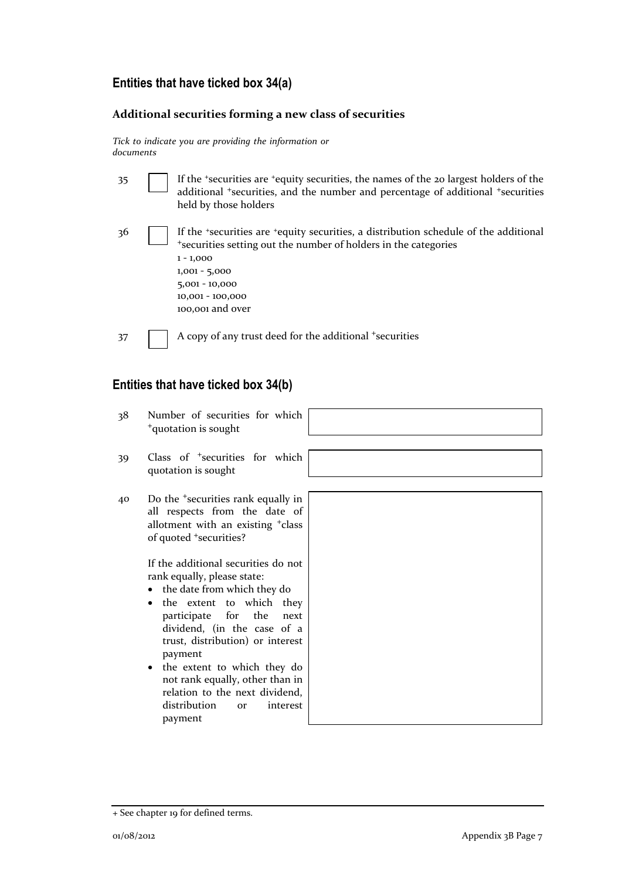### **Entities that have ticked box 34(a)**

#### **Additional securities forming a new class of securities**

*Tick to indicate you are providing the information or documents*

| -35 | If the 'securities are 'equity securities, the names of the 20 largest holders of the<br>additional *securities, and the number and percentage of additional *securities<br>held by those holders                                                     |
|-----|-------------------------------------------------------------------------------------------------------------------------------------------------------------------------------------------------------------------------------------------------------|
| 36  | If the 'securities are 'equity securities, a distribution schedule of the additional<br>*securities setting out the number of holders in the categories<br>$1 - 1,000$<br>$1,001 - 5,000$<br>$5,001 - 10,000$<br>10,001 - 100,000<br>100,001 and over |
| 37  | A copy of any trust deed for the additional +securities                                                                                                                                                                                               |

### **Entities that have ticked box 34(b)**

- 38 Number of securities for which <sup>+</sup>quotation is sought
- 39 Class of <sup>+</sup>securities for which quotation is sought
- 40 Do the <sup>+</sup>securities rank equally in all respects from the date of allotment with an existing <sup>+</sup>class of quoted <sup>+</sup>securities?

If the additional securities do not rank equally, please state:

- the date from which they do
- the extent to which they participate for the next dividend, (in the case of a trust, distribution) or interest payment
- the extent to which they do not rank equally, other than in relation to the next dividend,<br>distribution or interest distribution or payment

| ı<br>f         |  |
|----------------|--|
|                |  |
| 3              |  |
|                |  |
|                |  |
| t              |  |
|                |  |
|                |  |
|                |  |
| $\overline{r}$ |  |
| ţ              |  |
|                |  |
| 1<br>t         |  |
|                |  |
|                |  |
| $\mathbf{C}$   |  |
| $\mathbf{a}$   |  |
|                |  |
| ,<br>t         |  |
|                |  |
|                |  |

<sup>+</sup> See chapter 19 for defined terms.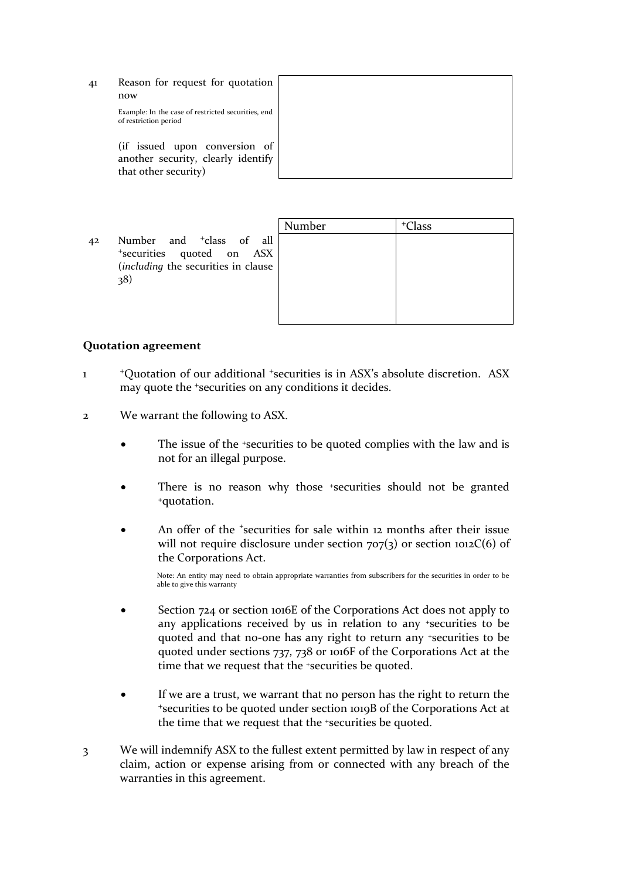41 Reason for request for quotation now Example: In the case of restricted securities, end of restriction period

> (if issued upon conversion of another security, clearly identify that other security)

42 Number and <sup>+</sup>class of all <sup>+</sup>securities quoted on ASX (*including* the securities in clause 38)

#### **Quotation agreement**

- 1 <sup>+</sup>Quotation of our additional <sup>+</sup>securities is in ASX's absolute discretion. ASX may quote the <sup>+</sup>securities on any conditions it decides.
- 2 We warrant the following to ASX.
	- The issue of the +securities to be quoted complies with the law and is not for an illegal purpose.
	- There is no reason why those +securities should not be granted <sup>+</sup>quotation.
	- An offer of the <sup>+</sup>securities for sale within 12 months after their issue will not require disclosure under section  $707(3)$  or section  $1012C(6)$  of the Corporations Act.

Note: An entity may need to obtain appropriate warranties from subscribers for the securities in order to be able to give this warranty

- Section 724 or section 1016E of the Corporations Act does not apply to any applications received by us in relation to any +securities to be quoted and that no-one has any right to return any +securities to be quoted under sections 737, 738 or 1016F of the Corporations Act at the time that we request that the <sup>+</sup>securities be quoted.
- If we are a trust, we warrant that no person has the right to return the <sup>+</sup>securities to be quoted under section 1019B of the Corporations Act at the time that we request that the +securities be quoted.
- 3 We will indemnify ASX to the fullest extent permitted by law in respect of any claim, action or expense arising from or connected with any breach of the warranties in this agreement.